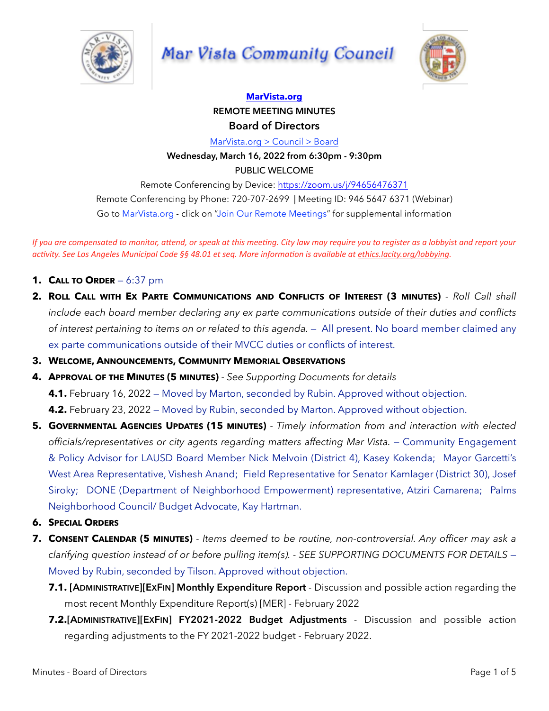

# Mar Vista Community Council



## **[MarVista.org](http://MarVista.org) REMOTE MEETING MINUTES Board of Directors**

[MarVista.org > Council > Board](https://www.marvista.org/committees/viewCommittee/board-of-directors)

**Wednesday, March 16, 2022 from 6:30pm - 9:30pm** PUBLIC WELCOME

Remote Conferencing by Device:<https://zoom.us/j/94656476371> Remote Conferencing by Phone: 720-707-2699 | Meeting ID: 946 5647 6371 (Webinar) Go to MarVista.org - click on "Join Our Remote Meetings" for supplemental information

*If* you are compensated to monitor, attend, or speak at this meeting. City law may require you to register as a lobbyist and report your *activity.* See Los Angeles Municipal Code §§ 48.01 et seq. More information is available at ethics.lacity.org/lobbying.

- **1. CALL TO ORDER** 6:37 pm
- **2. ROLL CALL WITH EX PARTE COMMUNICATIONS AND CONFLICTS OF INTEREST (3 MINUTES)**  *Roll Call shall include each board member declaring any ex parte communications outside of their duties and conflicts of interest pertaining to items on or related to this agenda.* — All present. No board member claimed any ex parte communications outside of their MVCC duties or conflicts of interest.
- **3. WELCOME, ANNOUNCEMENTS, COMMUNITY MEMORIAL OBSERVATIONS**
- **4. APPROVAL OF THE MINUTES (5 MINUTES)**  *See Supporting Documents for details*

**4.1.** February 16, 2022 — Moved by Marton, seconded by Rubin. Approved without objection.

**4.2.** February 23, 2022 — Moved by Rubin, seconded by Marton. Approved without objection.

- **5. GOVERNMENTAL AGENCIES UPDATES (15 MINUTES)**  *Timely information from and interaction with elected*  officials/representatives or city agents regarding matters affecting Mar Vista. - Community Engagement & Policy Advisor for LAUSD Board Member Nick Melvoin (District 4), Kasey Kokenda; Mayor Garcetti's West Area Representative, Vishesh Anand; Field Representative for Senator Kamlager (District 30), Josef Siroky; DONE (Department of Neighborhood Empowerment) representative, Atziri Camarena; Palms Neighborhood Council/ Budget Advocate, Kay Hartman.
- **6. SPECIAL ORDERS**
- **7. CONSENT CALENDAR (5 MINUTES)**  *Items deemed to be routine, non-controversial. Any officer may ask a clarifying question instead of or before pulling item(s). - SEE SUPPORTING DOCUMENTS FOR DETAILS* — Moved by Rubin, seconded by Tilson. Approved without objection.
	- **7.1. [ADMINISTRATIVE][EXFIN] Monthly Expenditure Report** Discussion and possible action regarding the most recent Monthly Expenditure Report(s) [MER] - February 2022
	- **7.2.[ADMINISTRATIVE][EXFIN] FY2021-2022 Budget Adjustments** Discussion and possible action regarding adjustments to the FY 2021-2022 budget - February 2022.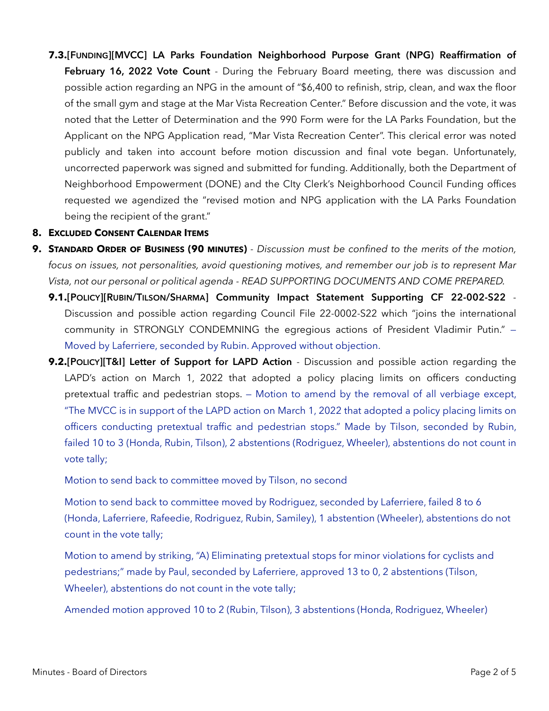**7.3.[FUNDING][MVCC] LA Parks Foundation Neighborhood Purpose Grant (NPG) Reaffirmation of**  February 16, 2022 Vote Count - During the February Board meeting, there was discussion and possible action regarding an NPG in the amount of "\$6,400 to refinish, strip, clean, and wax the floor of the small gym and stage at the Mar Vista Recreation Center." Before discussion and the vote, it was noted that the Letter of Determination and the 990 Form were for the LA Parks Foundation, but the Applicant on the NPG Application read, "Mar Vista Recreation Center". This clerical error was noted publicly and taken into account before motion discussion and final vote began. Unfortunately, uncorrected paperwork was signed and submitted for funding. Additionally, both the Department of Neighborhood Empowerment (DONE) and the CIty Clerk's Neighborhood Council Funding offices requested we agendized the "revised motion and NPG application with the LA Parks Foundation being the recipient of the grant."

#### **8. EXCLUDED CONSENT CALENDAR ITEMS**

- **9. STANDARD ORDER OF BUSINESS (90 MINUTES)** *Discussion must be confined to the merits of the motion, focus on issues, not personalities, avoid questioning motives, and remember our job is to represent Mar Vista, not our personal or political agenda - READ SUPPORTING DOCUMENTS AND COME PREPARED.*
	- **9.1.[POLICY][RUBIN/TILSON/SHARMA] Community Impact Statement Supporting CF 22-002-S22**  Discussion and possible action regarding Council File 22-0002-S22 which "joins the international community in STRONGLY CONDEMNING the egregious actions of President Vladimir Putin." — Moved by Laferriere, seconded by Rubin. Approved without objection.
	- **9.2.[POLICY][T&I] Letter of Support for LAPD Action**  Discussion and possible action regarding the LAPD's action on March 1, 2022 that adopted a policy placing limits on officers conducting pretextual traffic and pedestrian stops. — Motion to amend by the removal of all verbiage except, "The MVCC is in support of the LAPD action on March 1, 2022 that adopted a policy placing limits on officers conducting pretextual traffic and pedestrian stops." Made by Tilson, seconded by Rubin, failed 10 to 3 (Honda, Rubin, Tilson), 2 abstentions (Rodriguez, Wheeler), abstentions do not count in vote tally;

Motion to send back to committee moved by Tilson, no second

Motion to send back to committee moved by Rodriguez, seconded by Laferriere, failed 8 to 6 (Honda, Laferriere, Rafeedie, Rodriguez, Rubin, Samiley), 1 abstention (Wheeler), abstentions do not count in the vote tally;

Motion to amend by striking, "A) Eliminating pretextual stops for minor violations for cyclists and pedestrians;" made by Paul, seconded by Laferriere, approved 13 to 0, 2 abstentions (Tilson, Wheeler), abstentions do not count in the vote tally;

Amended motion approved 10 to 2 (Rubin, Tilson), 3 abstentions (Honda, Rodriguez, Wheeler)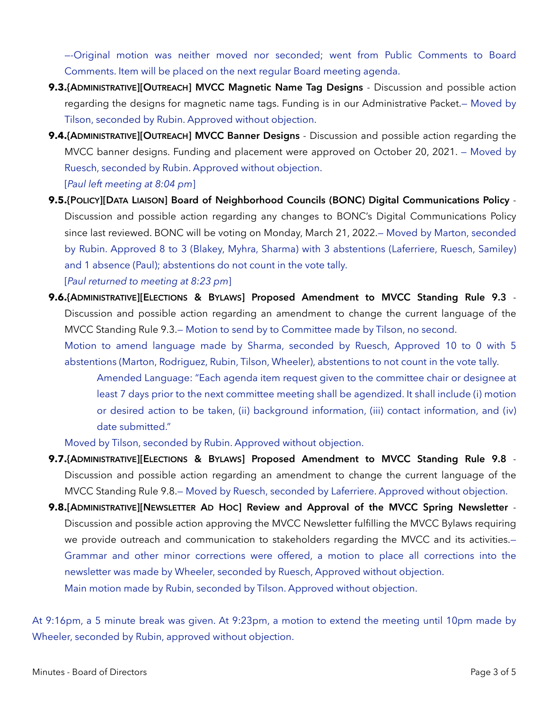—-Original motion was neither moved nor seconded; went from Public Comments to Board Comments. Item will be placed on the next regular Board meeting agenda.

- **9.3.{ADMINISTRATIVE][OUTREACH] MVCC Magnetic Name Tag Designs**  Discussion and possible action regarding the designs for magnetic name tags. Funding is in our Administrative Packet.— Moved by Tilson, seconded by Rubin. Approved without objection.
- **9.4.{ADMINISTRATIVE][OUTREACH] MVCC Banner Designs**  Discussion and possible action regarding the MVCC banner designs. Funding and placement were approved on October 20, 2021. — Moved by Ruesch, seconded by Rubin. Approved without objection. [*Paul left meeting at 8:04 pm*]
- **9.5.{POLICY][DATA LIAISON] Board of Neighborhood Councils (BONC) Digital Communications Policy**  Discussion and possible action regarding any changes to BONC's Digital Communications Policy since last reviewed. BONC will be voting on Monday, March 21, 2022.— Moved by Marton, seconded by Rubin. Approved 8 to 3 (Blakey, Myhra, Sharma) with 3 abstentions (Laferriere, Ruesch, Samiley) and 1 absence (Paul); abstentions do not count in the vote tally.

[*Paul returned to meeting at 8:23 pm*]

**9.6.{ADMINISTRATIVE][ELECTIONS & BYLAWS] Proposed Amendment to MVCC Standing Rule 9.3** - Discussion and possible action regarding an amendment to change the current language of the MVCC Standing Rule 9.3.— Motion to send by to Committee made by Tilson, no second.

Motion to amend language made by Sharma, seconded by Ruesch, Approved 10 to 0 with 5 abstentions (Marton, Rodriguez, Rubin, Tilson, Wheeler), abstentions to not count in the vote tally.

Amended Language: "Each agenda item request given to the committee chair or designee at least 7 days prior to the next committee meeting shall be agendized. It shall include (i) motion or desired action to be taken, (ii) background information, (iii) contact information, and (iv) date submitted."

Moved by Tilson, seconded by Rubin. Approved without objection.

- **9.7.{ADMINISTRATIVE][ELECTIONS & BYLAWS] Proposed Amendment to MVCC Standing Rule 9.8**  Discussion and possible action regarding an amendment to change the current language of the MVCC Standing Rule 9.8.— Moved by Ruesch, seconded by Laferriere. Approved without objection.
- **9.8.[ADMINISTRATIVE][NEWSLETTER AD HOC] Review and Approval of the MVCC Spring Newsletter**  Discussion and possible action approving the MVCC Newsletter fulfilling the MVCC Bylaws requiring we provide outreach and communication to stakeholders regarding the MVCC and its activities.-Grammar and other minor corrections were offered, a motion to place all corrections into the newsletter was made by Wheeler, seconded by Ruesch, Approved without objection. Main motion made by Rubin, seconded by Tilson. Approved without objection.

At 9:16pm, a 5 minute break was given. At 9:23pm, a motion to extend the meeting until 10pm made by Wheeler, seconded by Rubin, approved without objection.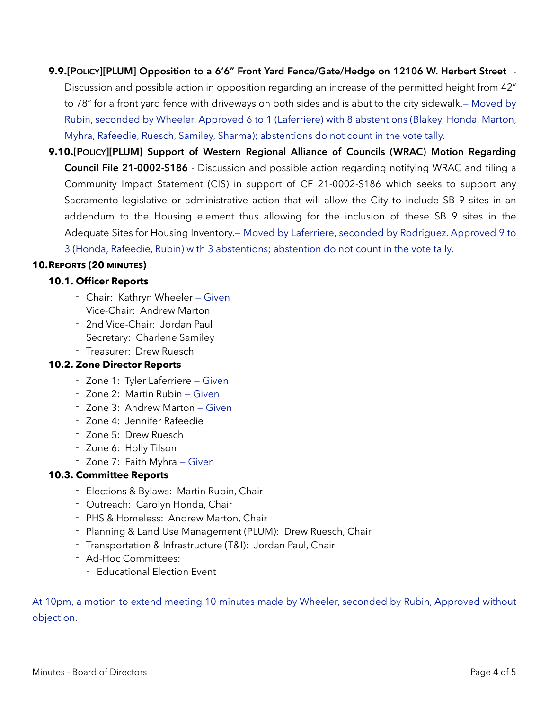**9.9.[POLICY][PLUM] Opposition to a 6'6" Front Yard Fence/Gate/Hedge on 12106 W. Herbert Street** - Discussion and possible action in opposition regarding an increase of the permitted height from 42" to 78" for a front yard fence with driveways on both sides and is abut to the city sidewalk.— Moved by Rubin, seconded by Wheeler. Approved 6 to 1 (Laferriere) with 8 abstentions (Blakey, Honda, Marton, Myhra, Rafeedie, Ruesch, Samiley, Sharma); abstentions do not count in the vote tally.

**9.10.[POLICY][PLUM] Support of Western Regional Alliance of Councils (WRAC) Motion Regarding Council File 21-0002-S186** - Discussion and possible action regarding notifying WRAC and filing a Community Impact Statement (CIS) in support of CF 21-0002-S186 which seeks to support any Sacramento legislative or administrative action that will allow the City to include SB 9 sites in an addendum to the Housing element thus allowing for the inclusion of these SB 9 sites in the Adequate Sites for Housing Inventory.— Moved by Laferriere, seconded by Rodriguez. Approved 9 to 3 (Honda, Rafeedie, Rubin) with 3 abstentions; abstention do not count in the vote tally.

#### **10.REPORTS (20 MINUTES)**

#### **10.1. Officer Reports**

- Chair: Kathryn Wheeler Given
- Vice-Chair: Andrew Marton
- 2nd Vice-Chair: Jordan Paul
- Secretary: Charlene Samiley
- Treasurer: Drew Ruesch

### **10.2. Zone Director Reports**

- Zone 1: Tyler Laferriere Given
- Zone 2: Martin Rubin Given
- Zone 3: Andrew Marton Given
- Zone 4: Jennifer Rafeedie
- Zone 5: Drew Ruesch
- Zone 6: Holly Tilson
- Zone 7: Faith Myhra Given

### **10.3. Committee Reports**

- Elections & Bylaws: Martin Rubin, Chair
- Outreach: Carolyn Honda, Chair
- PHS & Homeless: Andrew Marton, Chair
- Planning & Land Use Management (PLUM): Drew Ruesch, Chair
- Transportation & Infrastructure (T&I): Jordan Paul, Chair
- Ad-Hoc Committees:
	- Educational Election Event

At 10pm, a motion to extend meeting 10 minutes made by Wheeler, seconded by Rubin, Approved without objection.